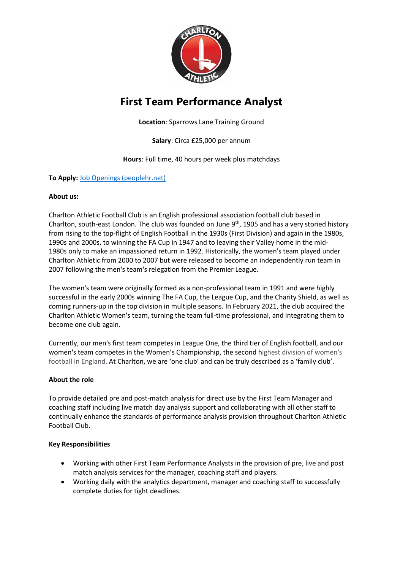

# **First Team Performance Analyst**

**Location**: Sparrows Lane Training Ground

**Salary**: Circa £25,000 per annum

**Hours**: Full time, 40 hours per week plus matchdays

## **To Apply:** [Job Openings \(peoplehr.net\)](https://cafc.peoplehr.net/Pages/JobBoard/Opening.aspx?v=d55382b3-bb93-4263-80c0-263a91c8869b)

## **About us:**

Charlton Athletic Football Club is an English professional association football club based in Charlton, south-east London. The club was founded on June  $9<sup>th</sup>$ , 1905 and has a very storied history from rising to the top-flight of English Football in the 1930s (First Division) and again in the 1980s, 1990s and 2000s, to winning the FA Cup in 1947 and to leaving their Valley home in the mid-1980s only to make an impassioned return in 1992. Historically, the women's team played under Charlton Athletic from 2000 to 2007 but were released to become an independently run team in 2007 following the men's team's relegation from the Premier League.

The women's team were originally formed as a non-professional team in 1991 and were highly successful in the early 2000s winning The FA Cup, the League Cup, and the Charity Shield, as well as coming runners-up in the top division in multiple seasons. In February 2021, the club acquired the Charlton Athletic Women's team, turning the team full-time professional, and integrating them to become one club again.

Currently, our men's first team competes in League One, the third tier of English football, and our women's team competes in the Women's Championship, the second highest division of women's football in England. At Charlton, we are 'one club' and can be truly described as a 'family club'.

## **About the role**

To provide detailed pre and post-match analysis for direct use by the First Team Manager and coaching staff including live match day analysis support and collaborating with all other staff to continually enhance the standards of performance analysis provision throughout Charlton Athletic Football Club.

## **Key Responsibilities**

- Working with other First Team Performance Analysts in the provision of pre, live and post match analysis services for the manager, coaching staff and players.
- Working daily with the analytics department, manager and coaching staff to successfully complete duties for tight deadlines.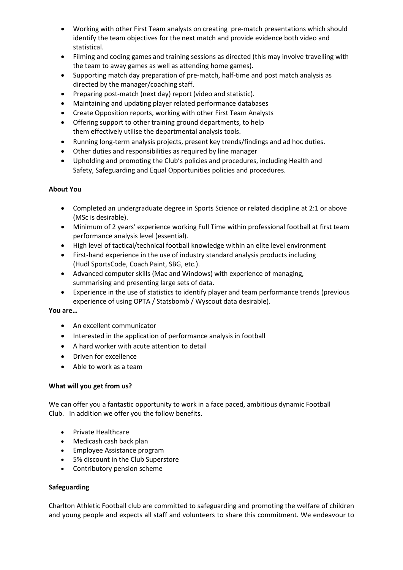- Working with other First Team analysts on creating pre-match presentations which should identify the team objectives for the next match and provide evidence both video and statistical.
- Filming and coding games and training sessions as directed (this may involve travelling with the team to away games as well as attending home games).
- Supporting match day preparation of pre-match, half-time and post match analysis as directed by the manager/coaching staff.
- Preparing post-match (next day) report (video and statistic).
- Maintaining and updating player related performance databases
- Create Opposition reports, working with other First Team Analysts
- Offering support to other training ground departments, to help them effectively utilise the departmental analysis tools.
- Running long-term analysis projects, present key trends/findings and ad hoc duties.
- Other duties and responsibilities as required by line manager
- Upholding and promoting the Club's policies and procedures, including Health and Safety, Safeguarding and Equal Opportunities policies and procedures.

#### **About You**

- Completed an undergraduate degree in Sports Science or related discipline at 2:1 or above (MSc is desirable).
- Minimum of 2 years' experience working Full Time within professional football at first team performance analysis level (essential).
- High level of tactical/technical football knowledge within an elite level environment
- First-hand experience in the use of industry standard analysis products including (Hudl SportsCode, Coach Paint, SBG, etc.).
- Advanced computer skills (Mac and Windows) with experience of managing, summarising and presenting large sets of data.
- Experience in the use of statistics to identify player and team performance trends (previous experience of using OPTA / Statsbomb / Wyscout data desirable).

#### **You are…**

- An excellent communicator
- Interested in the application of performance analysis in football
- A hard worker with acute attention to detail
- Driven for excellence
- Able to work as a team

## **What will you get from us?**

We can offer you a fantastic opportunity to work in a face paced, ambitious dynamic Football Club. In addition we offer you the follow benefits.

- Private Healthcare
- Medicash cash back plan
- Employee Assistance program
- 5% discount in the Club Superstore
- Contributory pension scheme

#### **Safeguarding**

Charlton Athletic Football club are committed to safeguarding and promoting the welfare of children and young people and expects all staff and volunteers to share this commitment. We endeavour to